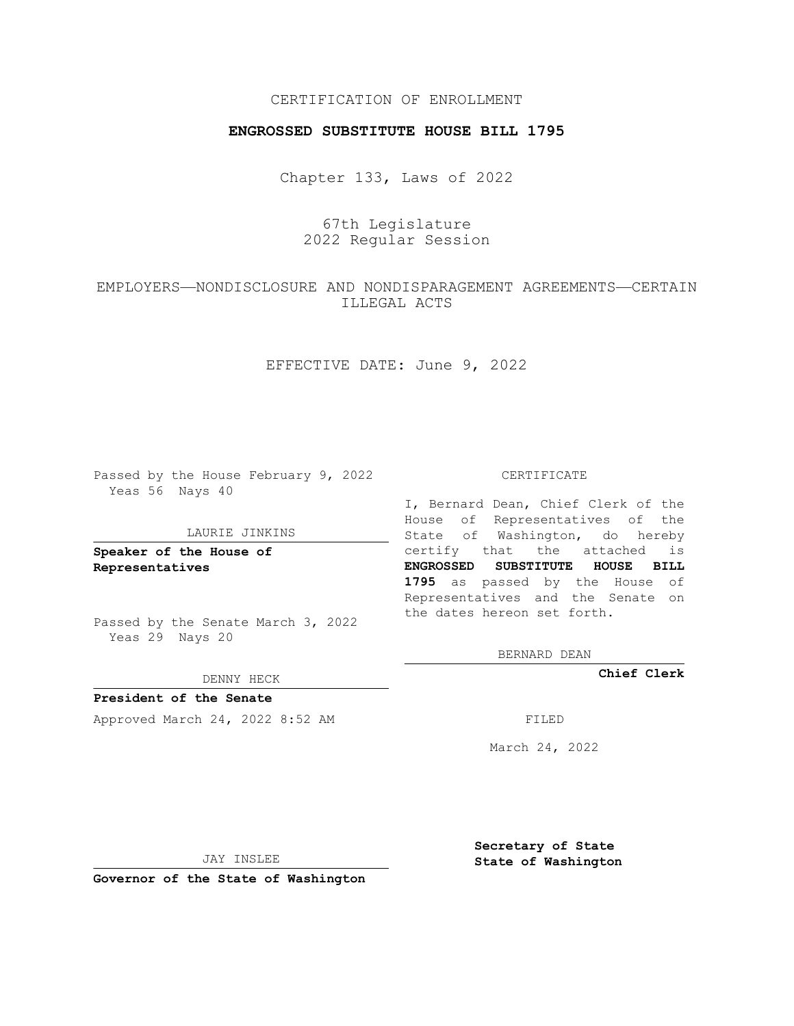## CERTIFICATION OF ENROLLMENT

### **ENGROSSED SUBSTITUTE HOUSE BILL 1795**

Chapter 133, Laws of 2022

# 67th Legislature 2022 Regular Session

# EMPLOYERS—NONDISCLOSURE AND NONDISPARAGEMENT AGREEMENTS—CERTAIN ILLEGAL ACTS

EFFECTIVE DATE: June 9, 2022

Passed by the House February 9, 2022 Yeas 56 Nays 40

#### LAURIE JINKINS

**Speaker of the House of Representatives**

Passed by the Senate March 3, 2022 Yeas 29 Nays 20

DENNY HECK

**President of the Senate** Approved March 24, 2022 8:52 AM FILED

#### CERTIFICATE

I, Bernard Dean, Chief Clerk of the House of Representatives of the State of Washington, do hereby certify that the attached is **ENGROSSED SUBSTITUTE HOUSE BILL 1795** as passed by the House of Representatives and the Senate on the dates hereon set forth.

BERNARD DEAN

**Chief Clerk**

March 24, 2022

JAY INSLEE

**Governor of the State of Washington**

**Secretary of State State of Washington**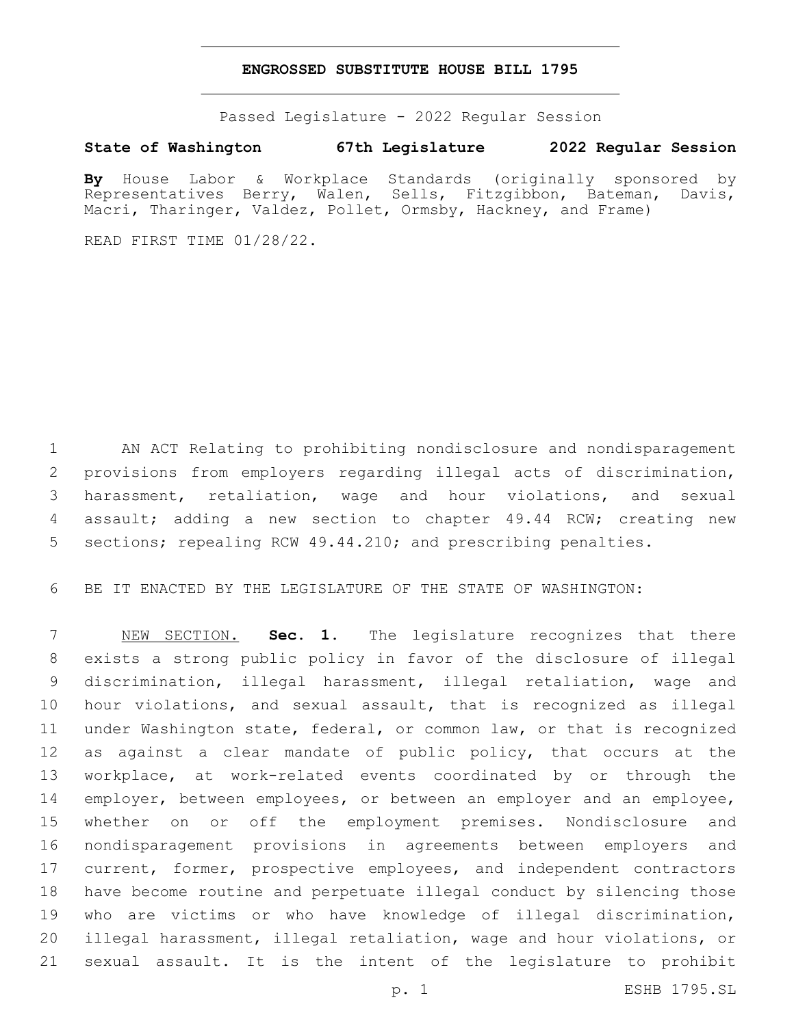### **ENGROSSED SUBSTITUTE HOUSE BILL 1795**

Passed Legislature - 2022 Regular Session

## **State of Washington 67th Legislature 2022 Regular Session**

**By** House Labor & Workplace Standards (originally sponsored by Representatives Berry, Walen, Sells, Fitzgibbon, Bateman, Davis, Macri, Tharinger, Valdez, Pollet, Ormsby, Hackney, and Frame)

READ FIRST TIME 01/28/22.

 AN ACT Relating to prohibiting nondisclosure and nondisparagement provisions from employers regarding illegal acts of discrimination, harassment, retaliation, wage and hour violations, and sexual assault; adding a new section to chapter 49.44 RCW; creating new sections; repealing RCW 49.44.210; and prescribing penalties.

BE IT ENACTED BY THE LEGISLATURE OF THE STATE OF WASHINGTON:

 NEW SECTION. **Sec. 1.** The legislature recognizes that there exists a strong public policy in favor of the disclosure of illegal discrimination, illegal harassment, illegal retaliation, wage and hour violations, and sexual assault, that is recognized as illegal under Washington state, federal, or common law, or that is recognized as against a clear mandate of public policy, that occurs at the workplace, at work-related events coordinated by or through the 14 employer, between employees, or between an employer and an employee, whether on or off the employment premises. Nondisclosure and nondisparagement provisions in agreements between employers and 17 current, former, prospective employees, and independent contractors have become routine and perpetuate illegal conduct by silencing those who are victims or who have knowledge of illegal discrimination, illegal harassment, illegal retaliation, wage and hour violations, or sexual assault. It is the intent of the legislature to prohibit

p. 1 ESHB 1795.SL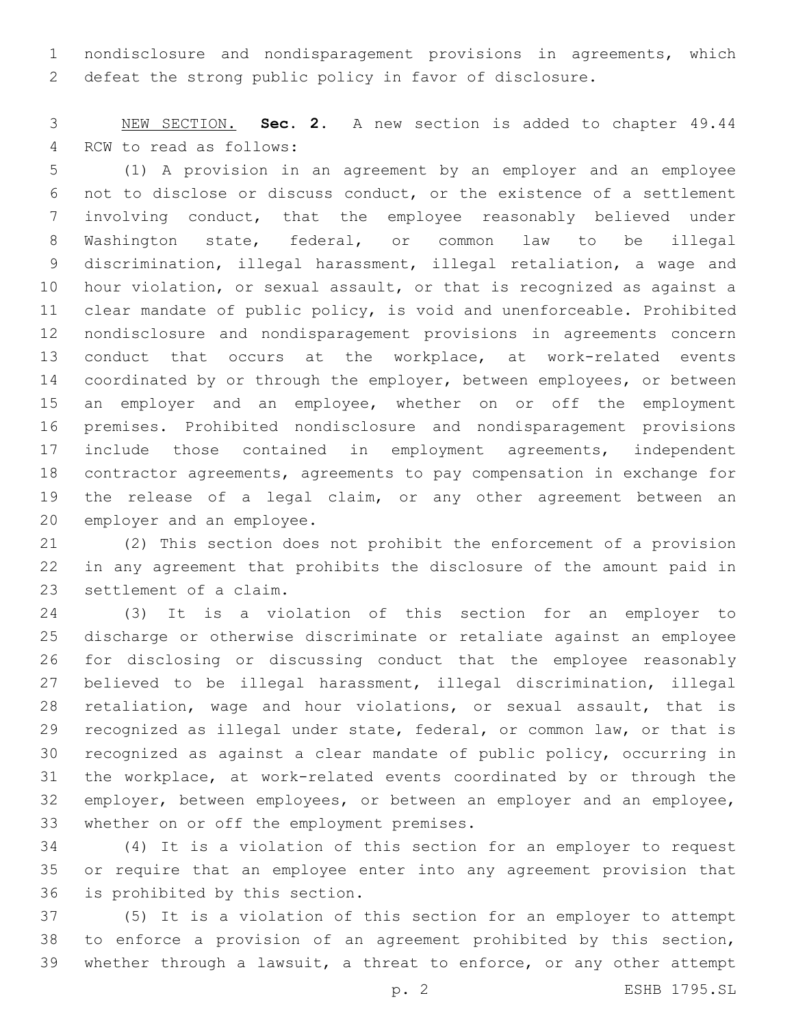nondisclosure and nondisparagement provisions in agreements, which defeat the strong public policy in favor of disclosure.

 NEW SECTION. **Sec. 2.** A new section is added to chapter 49.44 4 RCW to read as follows:

 (1) A provision in an agreement by an employer and an employee not to disclose or discuss conduct, or the existence of a settlement involving conduct, that the employee reasonably believed under Washington state, federal, or common law to be illegal discrimination, illegal harassment, illegal retaliation, a wage and hour violation, or sexual assault, or that is recognized as against a clear mandate of public policy, is void and unenforceable. Prohibited nondisclosure and nondisparagement provisions in agreements concern conduct that occurs at the workplace, at work-related events 14 coordinated by or through the employer, between employees, or between 15 an employer and an employee, whether on or off the employment premises. Prohibited nondisclosure and nondisparagement provisions include those contained in employment agreements, independent contractor agreements, agreements to pay compensation in exchange for the release of a legal claim, or any other agreement between an 20 employer and an employee.

 (2) This section does not prohibit the enforcement of a provision in any agreement that prohibits the disclosure of the amount paid in 23 settlement of a claim.

 (3) It is a violation of this section for an employer to discharge or otherwise discriminate or retaliate against an employee for disclosing or discussing conduct that the employee reasonably believed to be illegal harassment, illegal discrimination, illegal retaliation, wage and hour violations, or sexual assault, that is recognized as illegal under state, federal, or common law, or that is recognized as against a clear mandate of public policy, occurring in the workplace, at work-related events coordinated by or through the 32 employer, between employees, or between an employer and an employee, 33 whether on or off the employment premises.

 (4) It is a violation of this section for an employer to request or require that an employee enter into any agreement provision that 36 is prohibited by this section.

 (5) It is a violation of this section for an employer to attempt to enforce a provision of an agreement prohibited by this section, whether through a lawsuit, a threat to enforce, or any other attempt

p. 2 ESHB 1795.SL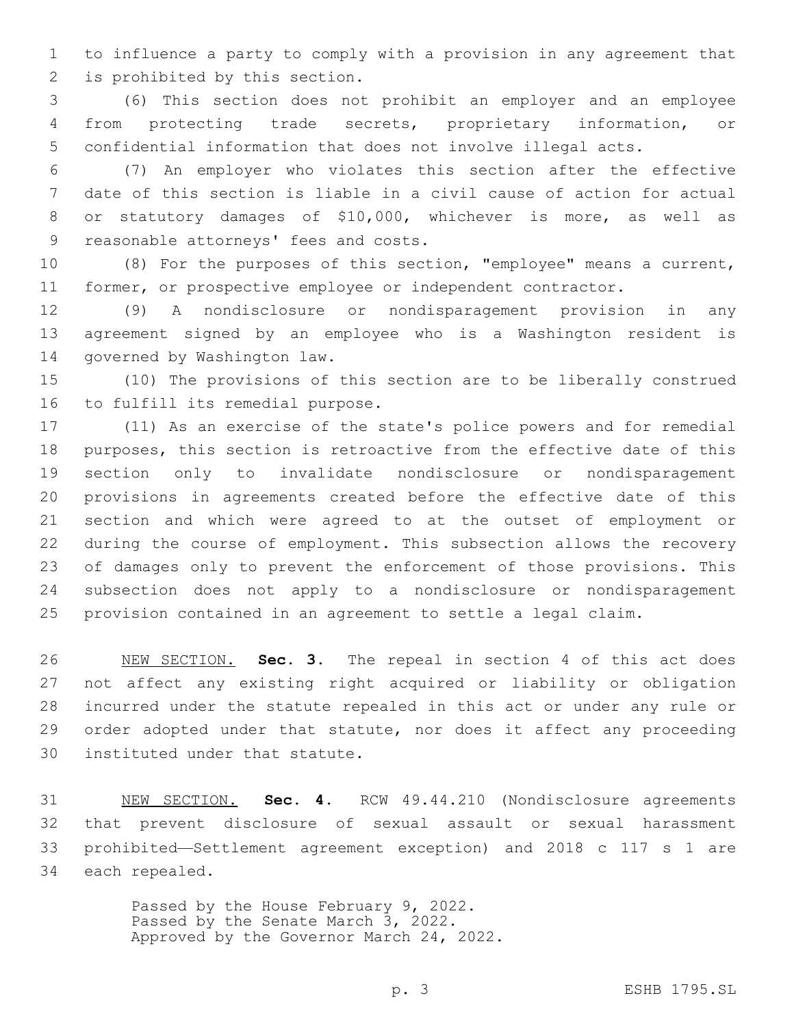to influence a party to comply with a provision in any agreement that 2 is prohibited by this section.

 (6) This section does not prohibit an employer and an employee from protecting trade secrets, proprietary information, or confidential information that does not involve illegal acts.

 (7) An employer who violates this section after the effective date of this section is liable in a civil cause of action for actual or statutory damages of \$10,000, whichever is more, as well as 9 reasonable attorneys' fees and costs.

 (8) For the purposes of this section, "employee" means a current, 11 former, or prospective employee or independent contractor.

 (9) A nondisclosure or nondisparagement provision in any agreement signed by an employee who is a Washington resident is 14 governed by Washington law.

 (10) The provisions of this section are to be liberally construed 16 to fulfill its remedial purpose.

 (11) As an exercise of the state's police powers and for remedial purposes, this section is retroactive from the effective date of this section only to invalidate nondisclosure or nondisparagement provisions in agreements created before the effective date of this section and which were agreed to at the outset of employment or during the course of employment. This subsection allows the recovery of damages only to prevent the enforcement of those provisions. This subsection does not apply to a nondisclosure or nondisparagement provision contained in an agreement to settle a legal claim.

 NEW SECTION. **Sec. 3.** The repeal in section 4 of this act does not affect any existing right acquired or liability or obligation incurred under the statute repealed in this act or under any rule or order adopted under that statute, nor does it affect any proceeding instituted under that statute.

 NEW SECTION. **Sec. 4.** RCW 49.44.210 (Nondisclosure agreements that prevent disclosure of sexual assault or sexual harassment prohibited—Settlement agreement exception) and 2018 c 117 s 1 are each repealed.

> Passed by the House February 9, 2022. Passed by the Senate March 3, 2022. Approved by the Governor March 24, 2022.